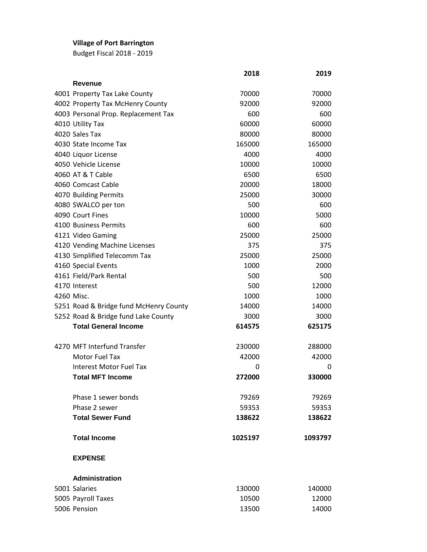## **Village of Port Barrington**

Budget Fiscal 2018 - 2019

|  |                                        | 2018    | 2019    |
|--|----------------------------------------|---------|---------|
|  | Revenue                                |         |         |
|  | 4001 Property Tax Lake County          | 70000   | 70000   |
|  | 4002 Property Tax McHenry County       | 92000   | 92000   |
|  | 4003 Personal Prop. Replacement Tax    | 600     | 600     |
|  | 4010 Utility Tax                       | 60000   | 60000   |
|  | 4020 Sales Tax                         | 80000   | 80000   |
|  | 4030 State Income Tax                  | 165000  | 165000  |
|  | 4040 Liquor License                    | 4000    | 4000    |
|  | 4050 Vehicle License                   | 10000   | 10000   |
|  | 4060 AT & T Cable                      | 6500    | 6500    |
|  | 4060 Comcast Cable                     | 20000   | 18000   |
|  | 4070 Building Permits                  | 25000   | 30000   |
|  | 4080 SWALCO per ton                    | 500     | 600     |
|  | 4090 Court Fines                       | 10000   | 5000    |
|  | 4100 Business Permits                  | 600     | 600     |
|  | 4121 Video Gaming                      | 25000   | 25000   |
|  | 4120 Vending Machine Licenses          | 375     | 375     |
|  | 4130 Simplified Telecomm Tax           | 25000   | 25000   |
|  | 4160 Special Events                    | 1000    | 2000    |
|  | 4161 Field/Park Rental                 | 500     | 500     |
|  | 4170 Interest                          | 500     | 12000   |
|  | 4260 Misc.                             | 1000    | 1000    |
|  | 5251 Road & Bridge fund McHenry County | 14000   | 14000   |
|  | 5252 Road & Bridge fund Lake County    | 3000    | 3000    |
|  | <b>Total General Income</b>            | 614575  | 625175  |
|  |                                        |         |         |
|  | 4270 MFT Interfund Transfer            | 230000  | 288000  |
|  | Motor Fuel Tax                         | 42000   | 42000   |
|  | <b>Interest Motor Fuel Tax</b>         | 0       | 0       |
|  | <b>Total MFT Income</b>                | 272000  | 330000  |
|  | Phase 1 sewer bonds                    | 79269   | 79269   |
|  | Phase 2 sewer                          | 59353   | 59353   |
|  | <b>Total Sewer Fund</b>                | 138622  | 138622  |
|  | <b>Total Income</b>                    | 1025197 | 1093797 |
|  | <b>EXPENSE</b>                         |         |         |
|  | <b>Administration</b>                  |         |         |
|  | 5001 Salaries                          | 130000  | 140000  |
|  | 5005 Payroll Taxes                     | 10500   | 12000   |
|  | 5006 Pension                           | 13500   | 14000   |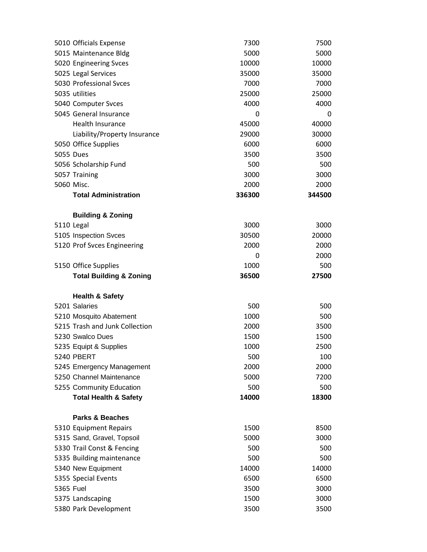|           | 5010 Officials Expense                                       | 7300         | 7500         |
|-----------|--------------------------------------------------------------|--------------|--------------|
|           | 5015 Maintenance Bldg                                        | 5000         | 5000         |
|           | 5020 Engineering Svces                                       | 10000        | 10000        |
|           | 5025 Legal Services                                          | 35000        | 35000        |
|           | 5030 Professional Syces                                      | 7000         | 7000         |
|           | 5035 utilities                                               | 25000        | 25000        |
|           | 5040 Computer Svces                                          | 4000         | 4000         |
|           | 5045 General Insurance                                       | 0            | 0            |
|           | <b>Health Insurance</b>                                      | 45000        | 40000        |
|           | Liability/Property Insurance                                 | 29000        | 30000        |
|           | 5050 Office Supplies                                         | 6000         | 6000         |
|           | 5055 Dues                                                    | 3500         | 3500         |
|           | 5056 Scholarship Fund                                        | 500          | 500          |
|           | 5057 Training                                                | 3000         | 3000         |
|           | 5060 Misc.                                                   | 2000         | 2000         |
|           | <b>Total Administration</b>                                  | 336300       | 344500       |
|           |                                                              |              |              |
|           | <b>Building &amp; Zoning</b>                                 |              |              |
|           | 5110 Legal                                                   | 3000         | 3000         |
|           | 5105 Inspection Svces                                        | 30500        | 20000        |
|           | 5120 Prof Svces Engineering                                  | 2000         | 2000         |
|           |                                                              | 0            | 2000         |
|           | 5150 Office Supplies                                         | 1000         | 500          |
|           | <b>Total Building &amp; Zoning</b>                           | 36500        | 27500        |
|           |                                                              |              |              |
|           |                                                              |              |              |
|           | <b>Health &amp; Safety</b><br>5201 Salaries                  |              |              |
|           |                                                              | 500<br>1000  | 500          |
|           | 5210 Mosquito Abatement<br>5215 Trash and Junk Collection    |              | 500          |
|           | 5230 Swalco Dues                                             | 2000         | 3500<br>1500 |
|           |                                                              | 1500<br>1000 | 2500         |
|           | 5235 Equipt & Supplies<br><b>5240 PBERT</b>                  |              |              |
|           |                                                              | 500          | 100          |
|           | 5245 Emergency Management<br>5250 Channel Maintenance        | 2000         | 2000         |
|           |                                                              | 5000         | 7200         |
|           | 5255 Community Education<br><b>Total Health &amp; Safety</b> | 500<br>14000 | 500<br>18300 |
|           |                                                              |              |              |
|           | <b>Parks &amp; Beaches</b>                                   |              |              |
|           | 5310 Equipment Repairs                                       | 1500         | 8500         |
|           | 5315 Sand, Gravel, Topsoil                                   | 5000         | 3000         |
|           | 5330 Trail Const & Fencing                                   | 500          | 500          |
|           | 5335 Building maintenance                                    | 500          | 500          |
|           | 5340 New Equipment                                           | 14000        | 14000        |
|           | 5355 Special Events                                          | 6500         | 6500         |
| 5365 Fuel |                                                              | 3500         | 3000         |
|           | 5375 Landscaping<br>5380 Park Development                    | 1500<br>3500 | 3000<br>3500 |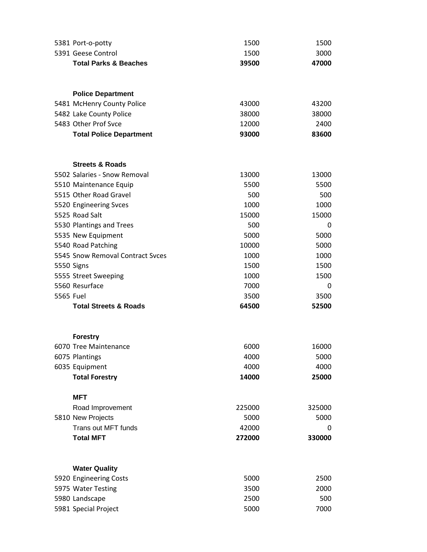| 5381 Port-o-potty                            | 1500   | 1500   |
|----------------------------------------------|--------|--------|
| 5391 Geese Control                           | 1500   | 3000   |
| <b>Total Parks &amp; Beaches</b>             | 39500  | 47000  |
|                                              |        |        |
|                                              |        |        |
| <b>Police Department</b>                     |        |        |
| 5481 McHenry County Police                   | 43000  | 43200  |
| 5482 Lake County Police                      | 38000  | 38000  |
| 5483 Other Prof Svce                         | 12000  | 2400   |
| <b>Total Police Department</b>               | 93000  | 83600  |
|                                              |        |        |
| <b>Streets &amp; Roads</b>                   |        |        |
| 5502 Salaries - Snow Removal                 | 13000  | 13000  |
| 5510 Maintenance Equip                       | 5500   | 5500   |
| 5515 Other Road Gravel                       | 500    | 500    |
| 5520 Engineering Svces                       | 1000   | 1000   |
| 5525 Road Salt                               | 15000  | 15000  |
| 5530 Plantings and Trees                     | 500    | 0      |
| 5535 New Equipment                           | 5000   | 5000   |
| 5540 Road Patching                           | 10000  | 5000   |
| 5545 Snow Removal Contract Svces             | 1000   | 1000   |
| 5550 Signs                                   | 1500   | 1500   |
| 5555 Street Sweeping                         | 1000   | 1500   |
| 5560 Resurface                               | 7000   | 0      |
| 5565 Fuel                                    | 3500   | 3500   |
| <b>Total Streets &amp; Roads</b>             | 64500  | 52500  |
|                                              |        |        |
|                                              |        |        |
| <b>Forestry</b>                              |        |        |
| 6070 Tree Maintenance                        | 6000   | 16000  |
| 6075 Plantings                               | 4000   | 5000   |
| 6035 Equipment                               | 4000   | 4000   |
| <b>Total Forestry</b>                        | 14000  | 25000  |
| <b>MFT</b>                                   |        |        |
| Road Improvement                             | 225000 | 325000 |
| 5810 New Projects                            | 5000   | 5000   |
| Trans out MFT funds                          | 42000  | 0      |
| <b>Total MFT</b>                             | 272000 | 330000 |
|                                              |        |        |
|                                              |        |        |
| <b>Water Quality</b>                         | 5000   | 2500   |
| 5920 Engineering Costs<br>5975 Water Testing | 3500   | 2000   |
| 5980 Landscape                               | 2500   | 500    |
| 5981 Special Project                         | 5000   | 7000   |
|                                              |        |        |